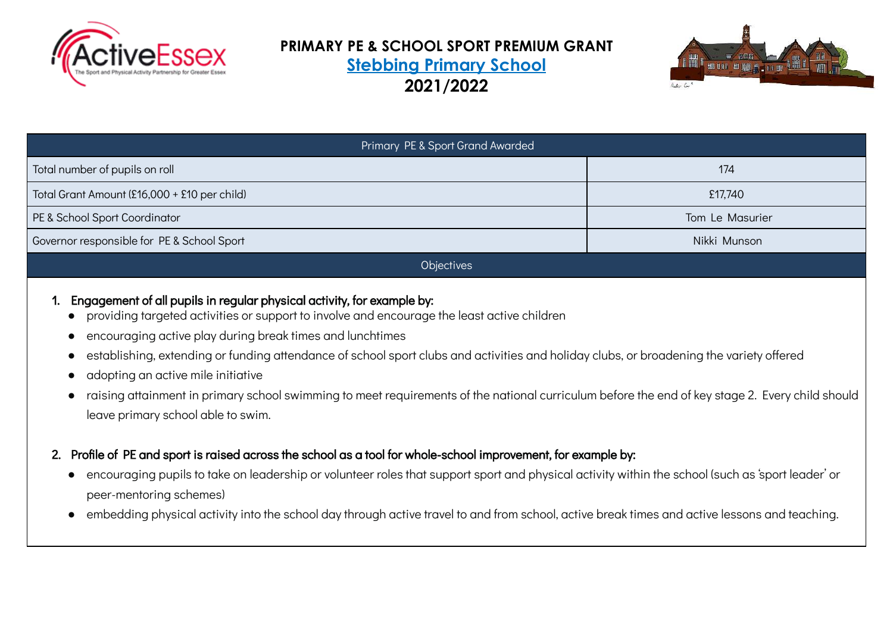

## **PRIMARY PE & SCHOOL SPORT PREMIUM GRANT Stebbing Primary School 2021/2022**



| Primary PE & Sport Grand Awarded                           |                 |  |  |  |  |  |
|------------------------------------------------------------|-----------------|--|--|--|--|--|
| Total number of pupils on roll                             | 174             |  |  |  |  |  |
| Total Grant Amount (£16,000 + £10 per child)               | £17,740         |  |  |  |  |  |
| PE & School Sport Coordinator                              | Tom Le Masurier |  |  |  |  |  |
| Governor responsible for PE & School Sport<br>Nikki Munson |                 |  |  |  |  |  |
| <b>Objectives</b>                                          |                 |  |  |  |  |  |

- 1. Engagement of all pupils in regular physical activity, for example by:
	- providing targeted activities or support to involve and encourage the least active children
	- encouraging active play during break times and lunchtimes
	- . establishing, extending or funding attendance of school sport clubs and activities and holiday clubs, or broadening the variety offered
	- adopting an active mile initiative
	- raising attainment in primary school swimming to meet requirements of the national curriculum before the end of key stage 2. Every child should leave primary school able to swim.
- 2. Profile of PE and sport is raised across the school as a tool for whole-school improvement, for example by:
	- encouraging pupils to take on leadership or volunteer roles that support sport and physical activity within the school (such as 'sport leader' or peer-mentoring schemes)
	- embedding physical activity into the school day through active travel to and from school, active break times and active lessons and teaching.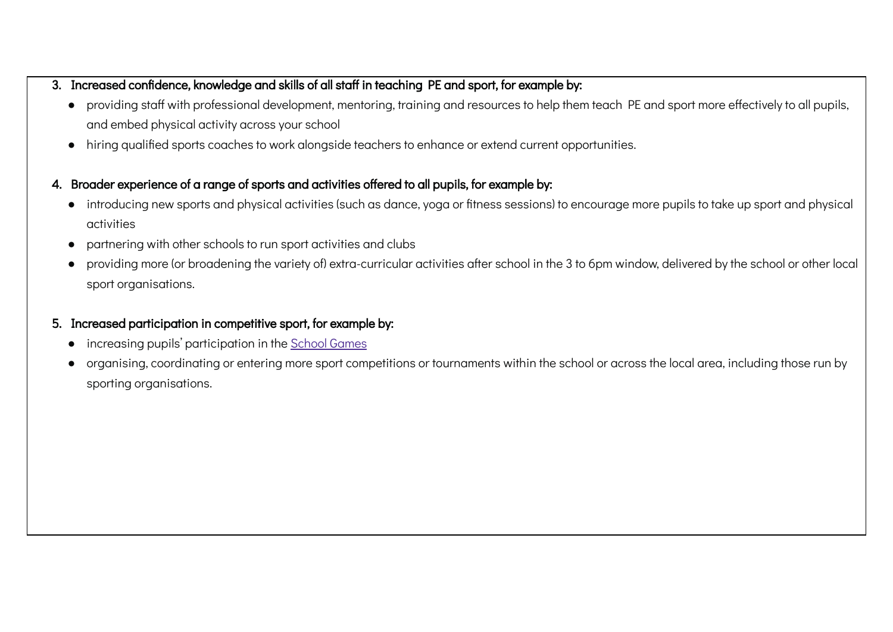- 3. Increased confidence, knowledge and skills of all staff in teaching PE and sport, for example by:
	- providing staff with professional development, mentoring, training and resources to help them teach PE and sport more effectively to all pupils, and embed physical activity across your school
	- hiring qualified sports coaches to work alongside teachers to enhance or extend current opportunities.
- 4. Broader experience of a range of sports and activities offered to all pupils, for example by:
	- introducing new sports and physical activities (such as dance, yoga or fitness sessions) to encourage more pupils to take up sport and physical activities
	- partnering with other schools to run sport activities and clubs
	- providing more (or broadening the variety of) extra-curricular activities after school in the 3 to 6pm window, delivered by the school or other local sport organisations.
- 5. Increased participation in competitive sport, for example by:
	- increasing pupils' participation in the [School Games](https://www.yourschoolgames.com/)
	- organising, coordinating or entering more sport competitions or tournaments within the school or across the local area, including those run by sporting organisations.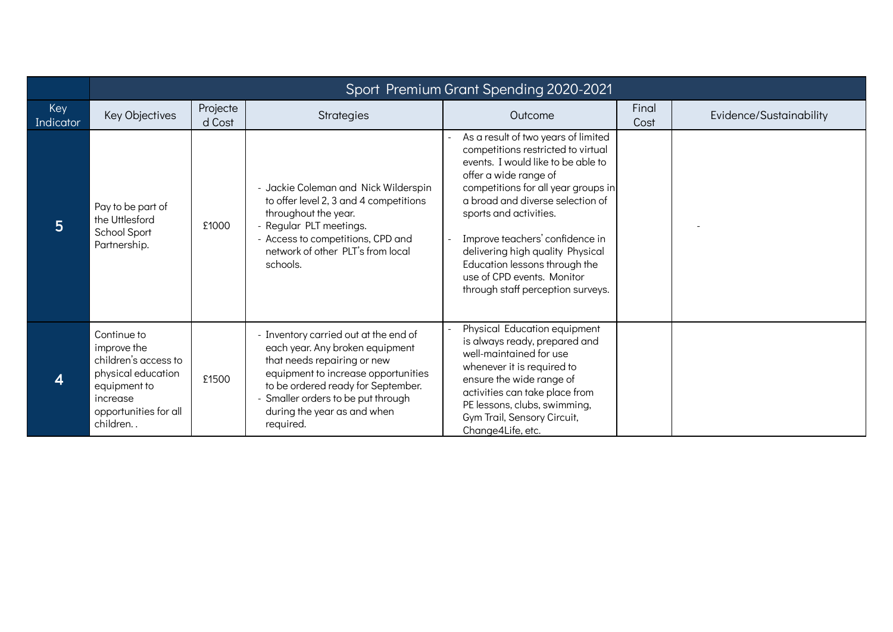|                         | Sport Premium Grant Spending 2020-2021                                                                                                    |                    |                                                                                                                                                                                                                                                                      |                                                                                                                                                                                                                                                                                                                                                                                                                          |               |                         |  |  |  |
|-------------------------|-------------------------------------------------------------------------------------------------------------------------------------------|--------------------|----------------------------------------------------------------------------------------------------------------------------------------------------------------------------------------------------------------------------------------------------------------------|--------------------------------------------------------------------------------------------------------------------------------------------------------------------------------------------------------------------------------------------------------------------------------------------------------------------------------------------------------------------------------------------------------------------------|---------------|-------------------------|--|--|--|
| Key<br><b>Indicator</b> | Key Objectives                                                                                                                            | Projecte<br>d Cost | Strategies                                                                                                                                                                                                                                                           | Outcome                                                                                                                                                                                                                                                                                                                                                                                                                  | Final<br>Cost | Evidence/Sustainability |  |  |  |
| 5                       | Pay to be part of<br>the Uttlesford<br>School Sport<br>Partnership.                                                                       | £1000              | - Jackie Coleman and Nick Wilderspin<br>to offer level 2, 3 and 4 competitions<br>throughout the year.<br>- Regular PLT meetings.<br>- Access to competitions, CPD and<br>network of other PLT's from local<br>schools.                                              | As a result of two years of limited<br>competitions restricted to virtual<br>events. I would like to be able to<br>offer a wide range of<br>competitions for all year groups in<br>a broad and diverse selection of<br>sports and activities.<br>Improve teachers' confidence in<br>delivering high quality Physical<br>Education lessons through the<br>use of CPD events. Monitor<br>through staff perception surveys. |               |                         |  |  |  |
| 4                       | Continue to<br>improve the<br>children's access to<br>physical education<br>equipment to<br>increase<br>opportunities for all<br>children | £1500              | - Inventory carried out at the end of<br>each year. Any broken equipment<br>that needs repairing or new<br>equipment to increase opportunities<br>to be ordered ready for September.<br>Smaller orders to be put through<br>during the year as and when<br>required. | Physical Education equipment<br>is always ready, prepared and<br>well-maintained for use<br>whenever it is required to<br>ensure the wide range of<br>activities can take place from<br>PE lessons, clubs, swimming,<br>Gym Trail, Sensory Circuit,<br>Change4Life, etc.                                                                                                                                                 |               |                         |  |  |  |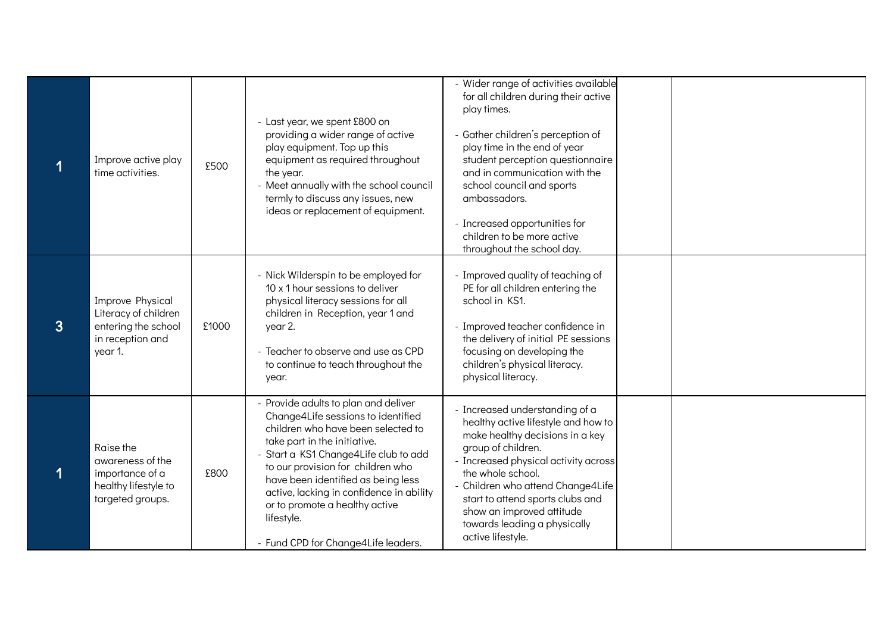|                | Improve active play<br>time activities.                                                        | £500  | - Last year, we spent £800 on<br>providing a wider range of active<br>play equipment. Top up this<br>equipment as required throughout<br>the year.<br>- Meet annually with the school council<br>termly to discuss any issues, new<br>ideas or replacement of equipment.                                                                                                                                | - Wider range of activities available<br>for all children during their active<br>play times.<br>- Gather children's perception of<br>play time in the end of year<br>student perception questionnaire<br>and in communication with the<br>school council and sports<br>ambassadors.<br>- Increased opportunities for<br>children to be more active<br>throughout the school day. |  |
|----------------|------------------------------------------------------------------------------------------------|-------|---------------------------------------------------------------------------------------------------------------------------------------------------------------------------------------------------------------------------------------------------------------------------------------------------------------------------------------------------------------------------------------------------------|----------------------------------------------------------------------------------------------------------------------------------------------------------------------------------------------------------------------------------------------------------------------------------------------------------------------------------------------------------------------------------|--|
| $\overline{3}$ | Improve Physical<br>Literacy of children<br>entering the school<br>in reception and<br>year 1. | £1000 | - Nick Wilderspin to be employed for<br>10 x 1 hour sessions to deliver<br>physical literacy sessions for all<br>children in Reception, year 1 and<br>year 2.<br>- Teacher to observe and use as CPD<br>to continue to teach throughout the<br>year.                                                                                                                                                    | - Improved quality of teaching of<br>PE for all children entering the<br>school in KS1.<br>- Improved teacher confidence in<br>the delivery of initial PE sessions<br>focusing on developing the<br>children's physical literacy.<br>physical literacy.                                                                                                                          |  |
|                | Raise the<br>awareness of the<br>importance of a<br>healthy lifestyle to<br>targeted groups.   | £800  | - Provide adults to plan and deliver<br>Change4Life sessions to identified<br>children who have been selected to<br>take part in the initiative.<br>- Start a KS1 Change4Life club to add<br>to our provision for children who<br>have been identified as being less<br>active, lacking in confidence in ability<br>or to promote a healthy active<br>lifestyle.<br>- Fund CPD for Change4Life leaders. | - Increased understanding of a<br>healthy active lifestyle and how to<br>make healthy decisions in a key<br>group of children.<br>- Increased physical activity across<br>the whole school.<br>- Children who attend Change4Life<br>start to attend sports clubs and<br>show an improved attitude<br>towards leading a physically<br>active lifestyle.                           |  |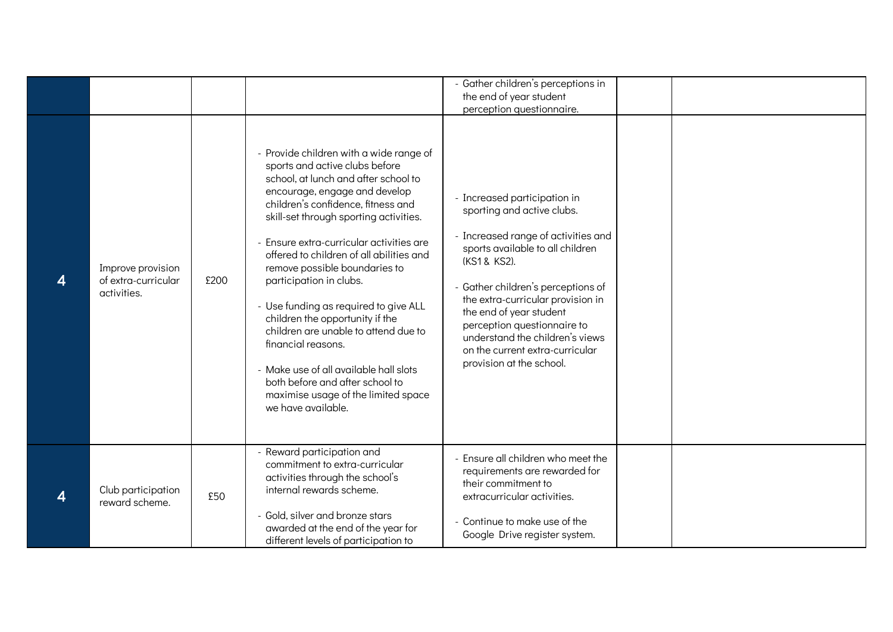| 4 | Improve provision<br>of extra-curricular<br>activities. | £200 | - Provide children with a wide range of<br>sports and active clubs before<br>school, at lunch and after school to<br>encourage, engage and develop<br>children's confidence, fitness and<br>skill-set through sporting activities.<br>- Ensure extra-curricular activities are<br>offered to children of all abilities and<br>remove possible boundaries to<br>participation in clubs.<br>- Use funding as required to give ALL<br>children the opportunity if the<br>children are unable to attend due to<br>financial reasons. | - Gather children's perceptions in<br>the end of year student<br>perception questionnaire.<br>- Increased participation in<br>sporting and active clubs.<br>- Increased range of activities and<br>sports available to all children<br>(KS1 & KS2).<br>- Gather children's perceptions of<br>the extra-curricular provision in<br>the end of year student<br>perception questionnaire to<br>understand the children's views<br>on the current extra-curricular |  |
|---|---------------------------------------------------------|------|----------------------------------------------------------------------------------------------------------------------------------------------------------------------------------------------------------------------------------------------------------------------------------------------------------------------------------------------------------------------------------------------------------------------------------------------------------------------------------------------------------------------------------|----------------------------------------------------------------------------------------------------------------------------------------------------------------------------------------------------------------------------------------------------------------------------------------------------------------------------------------------------------------------------------------------------------------------------------------------------------------|--|
|   |                                                         |      | - Make use of all available hall slots<br>both before and after school to<br>maximise usage of the limited space<br>we have available.                                                                                                                                                                                                                                                                                                                                                                                           | provision at the school.                                                                                                                                                                                                                                                                                                                                                                                                                                       |  |
| 4 | Club participation<br>reward scheme.                    | £50  | - Reward participation and<br>commitment to extra-curricular<br>activities through the school's<br>internal rewards scheme.<br>- Gold, silver and bronze stars<br>awarded at the end of the year for<br>different levels of participation to                                                                                                                                                                                                                                                                                     | - Ensure all children who meet the<br>requirements are rewarded for<br>their commitment to<br>extracurricular activities.<br>- Continue to make use of the<br>Google Drive register system.                                                                                                                                                                                                                                                                    |  |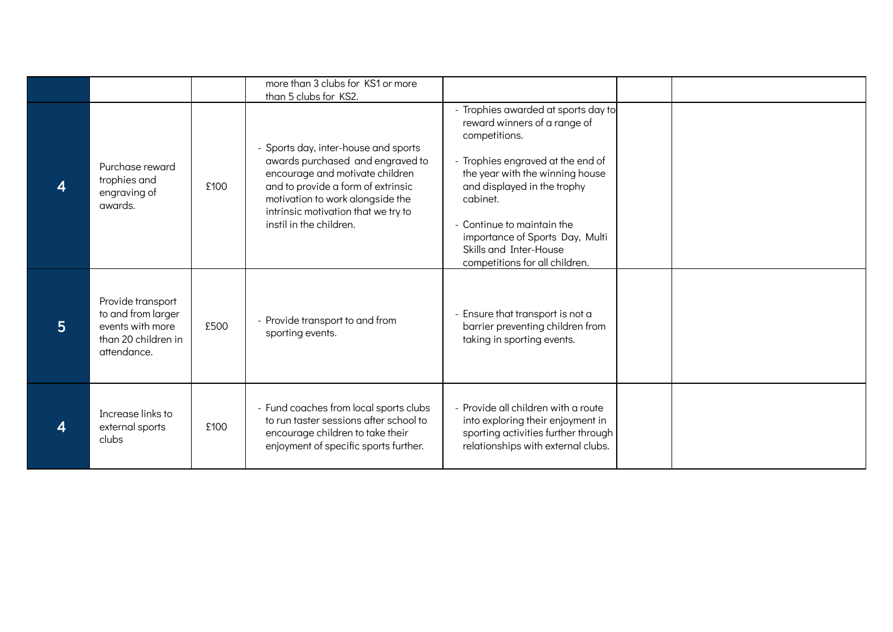|                |                                                                                                   |      | more than 3 clubs for KS1 or more<br>than 5 clubs for KS2.                                                                                                                                                                                              |                                                                                                                                                                                                                                                                                                                                    |  |
|----------------|---------------------------------------------------------------------------------------------------|------|---------------------------------------------------------------------------------------------------------------------------------------------------------------------------------------------------------------------------------------------------------|------------------------------------------------------------------------------------------------------------------------------------------------------------------------------------------------------------------------------------------------------------------------------------------------------------------------------------|--|
|                | Purchase reward<br>trophies and<br>engraving of<br>awards.                                        | £100 | - Sports day, inter-house and sports<br>awards purchased and engraved to<br>encourage and motivate children<br>and to provide a form of extrinsic<br>motivation to work alongside the<br>intrinsic motivation that we try to<br>instil in the children. | - Trophies awarded at sports day to<br>reward winners of a range of<br>competitions.<br>- Trophies engraved at the end of<br>the year with the winning house<br>and displayed in the trophy<br>cabinet.<br>Continue to maintain the<br>importance of Sports Day, Multi<br>Skills and Inter-House<br>competitions for all children. |  |
| $\overline{5}$ | Provide transport<br>to and from larger<br>events with more<br>than 20 children in<br>attendance. | £500 | - Provide transport to and from<br>sporting events.                                                                                                                                                                                                     | Ensure that transport is not a<br>barrier preventing children from<br>taking in sporting events.                                                                                                                                                                                                                                   |  |
| 4              | Increase links to<br>external sports<br>clubs                                                     | £100 | - Fund coaches from local sports clubs<br>to run taster sessions after school to<br>encourage children to take their<br>enjoyment of specific sports further.                                                                                           | - Provide all children with a route<br>into exploring their enjoyment in<br>sporting activities further through<br>relationships with external clubs.                                                                                                                                                                              |  |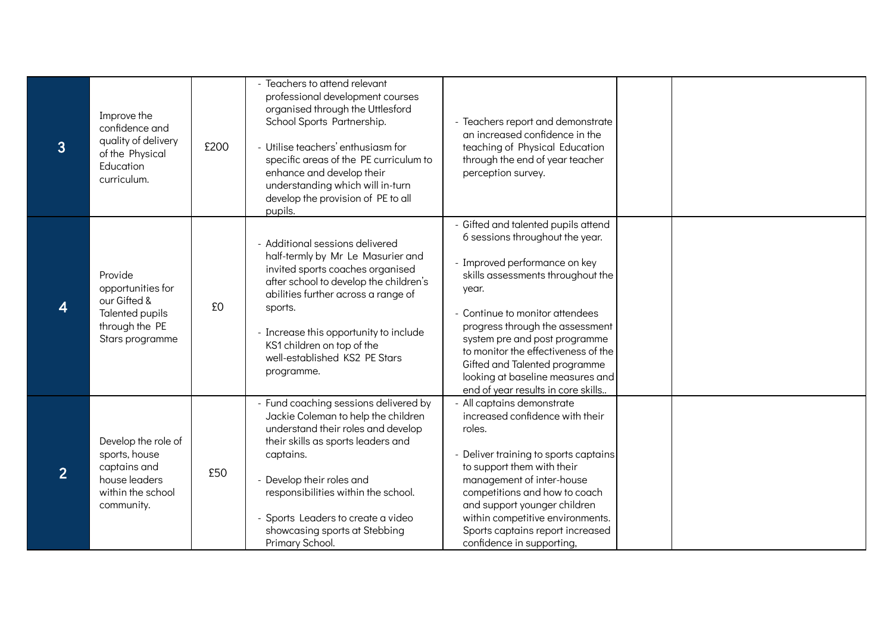| $\overline{3}$   | Improve the<br>confidence and<br>quality of delivery<br>of the Physical<br>Education<br>curriculum.      | £200 | - Teachers to attend relevant<br>professional development courses<br>organised through the Uttlesford<br>School Sports Partnership.<br>- Utilise teachers' enthusiasm for<br>specific areas of the PE curriculum to<br>enhance and develop their<br>understanding which will in-turn<br>develop the provision of PE to all<br>pupils. | - Teachers report and demonstrate<br>an increased confidence in the<br>teaching of Physical Education<br>through the end of year teacher<br>perception survey.                                                                                                                                                                                                                                                 |  |
|------------------|----------------------------------------------------------------------------------------------------------|------|---------------------------------------------------------------------------------------------------------------------------------------------------------------------------------------------------------------------------------------------------------------------------------------------------------------------------------------|----------------------------------------------------------------------------------------------------------------------------------------------------------------------------------------------------------------------------------------------------------------------------------------------------------------------------------------------------------------------------------------------------------------|--|
| $\boldsymbol{4}$ | Provide<br>opportunities for<br>our Gifted &<br>Talented pupils<br>through the PE<br>Stars programme     | £0   | - Additional sessions delivered<br>half-termly by Mr Le Masurier and<br>invited sports coaches organised<br>after school to develop the children's<br>abilities further across a range of<br>sports.<br>- Increase this opportunity to include<br>KS1 children on top of the<br>well-established KS2 PE Stars<br>programme.           | - Gifted and talented pupils attend<br>6 sessions throughout the year.<br>- Improved performance on key<br>skills assessments throughout the<br>year.<br>- Continue to monitor attendees<br>progress through the assessment<br>system pre and post programme<br>to monitor the effectiveness of the<br>Gifted and Talented programme<br>looking at baseline measures and<br>end of year results in core skills |  |
| 2 <sup>2</sup>   | Develop the role of<br>sports, house<br>captains and<br>house leaders<br>within the school<br>community. | £50  | - Fund coaching sessions delivered by<br>Jackie Coleman to help the children<br>understand their roles and develop<br>their skills as sports leaders and<br>captains.<br>- Develop their roles and<br>responsibilities within the school.<br>Sports Leaders to create a video<br>showcasing sports at Stebbing<br>Primary School.     | - All captains demonstrate<br>increased confidence with their<br>roles.<br>- Deliver training to sports captains<br>to support them with their<br>management of inter-house<br>competitions and how to coach<br>and support younger children<br>within competitive environments.<br>Sports captains report increased<br>confidence in supporting,                                                              |  |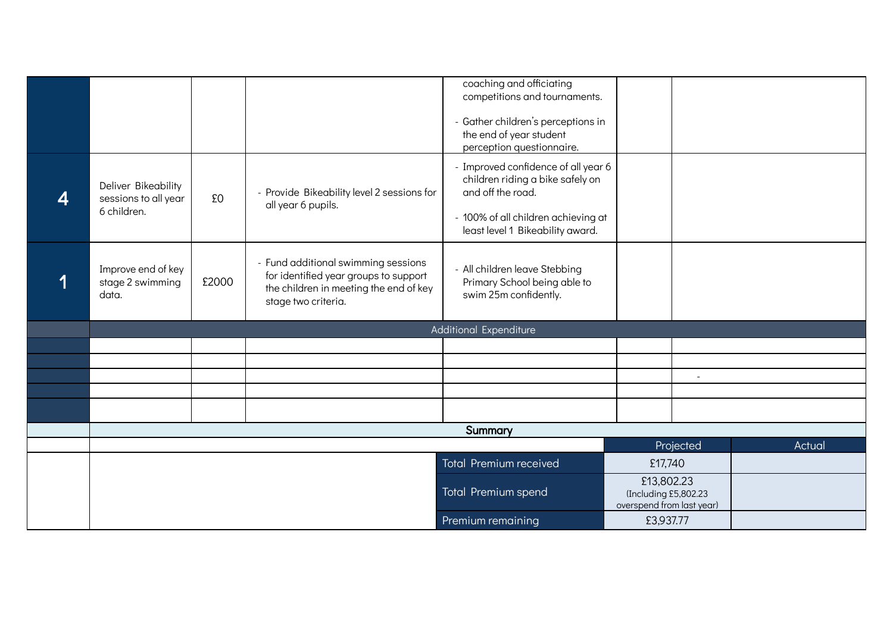|                                                            |       |                                                                                                                                               | coaching and officiating<br>competitions and tournaments.<br>- Gather children's perceptions in<br>the end of year student<br>perception questionnaire.                 |                                                                  |                |  |  |
|------------------------------------------------------------|-------|-----------------------------------------------------------------------------------------------------------------------------------------------|-------------------------------------------------------------------------------------------------------------------------------------------------------------------------|------------------------------------------------------------------|----------------|--|--|
| Deliver Bikeability<br>sessions to all year<br>6 children. | £0    | - Provide Bikeability level 2 sessions for<br>all year 6 pupils.                                                                              | - Improved confidence of all year 6<br>children riding a bike safely on<br>and off the road.<br>- 100% of all children achieving at<br>least level 1 Bikeability award. |                                                                  |                |  |  |
| Improve end of key<br>stage 2 swimming<br>data.            | £2000 | - Fund additional swimming sessions<br>for identified year groups to support<br>the children in meeting the end of key<br>stage two criteria. | - All children leave Stebbing<br>Primary School being able to<br>swim 25m confidently.                                                                                  |                                                                  |                |  |  |
|                                                            |       |                                                                                                                                               | Additional Expenditure                                                                                                                                                  |                                                                  |                |  |  |
|                                                            |       |                                                                                                                                               |                                                                                                                                                                         |                                                                  |                |  |  |
|                                                            |       |                                                                                                                                               |                                                                                                                                                                         |                                                                  |                |  |  |
|                                                            |       |                                                                                                                                               |                                                                                                                                                                         |                                                                  | $\overline{a}$ |  |  |
|                                                            |       |                                                                                                                                               |                                                                                                                                                                         |                                                                  |                |  |  |
| Summary                                                    |       |                                                                                                                                               |                                                                                                                                                                         |                                                                  |                |  |  |
| Projected<br>Actual                                        |       |                                                                                                                                               |                                                                                                                                                                         |                                                                  |                |  |  |
|                                                            |       |                                                                                                                                               | <b>Total Premium received</b>                                                                                                                                           | £17,740                                                          |                |  |  |
|                                                            |       |                                                                                                                                               | Total Premium spend                                                                                                                                                     | £13,802.23<br>(Including £5,802.23)<br>overspend from last year) |                |  |  |
|                                                            |       |                                                                                                                                               | Premium remaining                                                                                                                                                       | £3,937.77                                                        |                |  |  |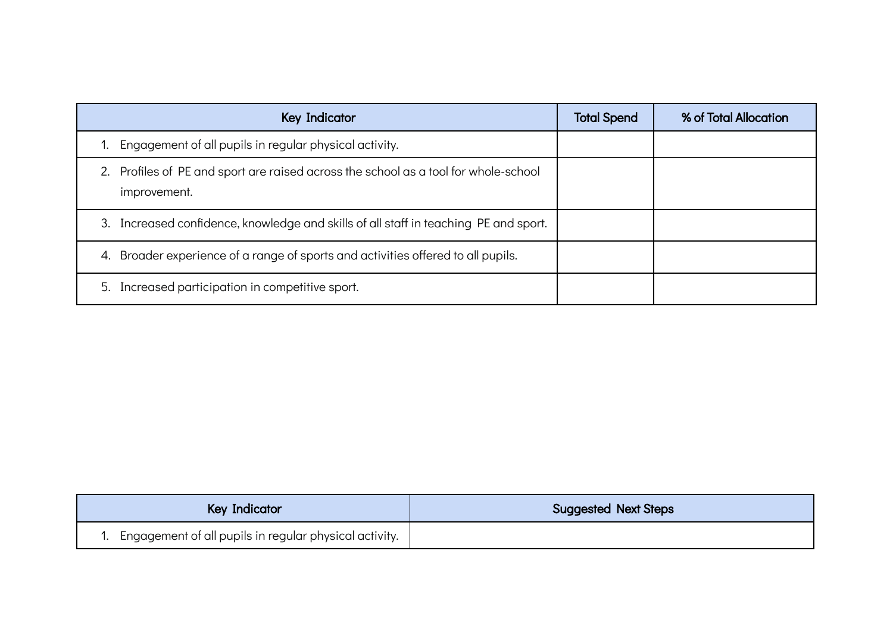| <b>Key Indicator</b>                                                                                | <b>Total Spend</b> | % of Total Allocation |
|-----------------------------------------------------------------------------------------------------|--------------------|-----------------------|
| Engagement of all pupils in regular physical activity.                                              |                    |                       |
| 2. Profiles of PE and sport are raised across the school as a tool for whole-school<br>improvement. |                    |                       |
| Increased confidence, knowledge and skills of all staff in teaching PE and sport.<br>3.             |                    |                       |
| Broader experience of a range of sports and activities offered to all pupils.<br>4.                 |                    |                       |
| 5. Increased participation in competitive sport.                                                    |                    |                       |

| Key Indicator                                               | <b>Suggested Next Steps</b> |
|-------------------------------------------------------------|-----------------------------|
| 1. Engagement of all pupils in regular physical activity. ' |                             |